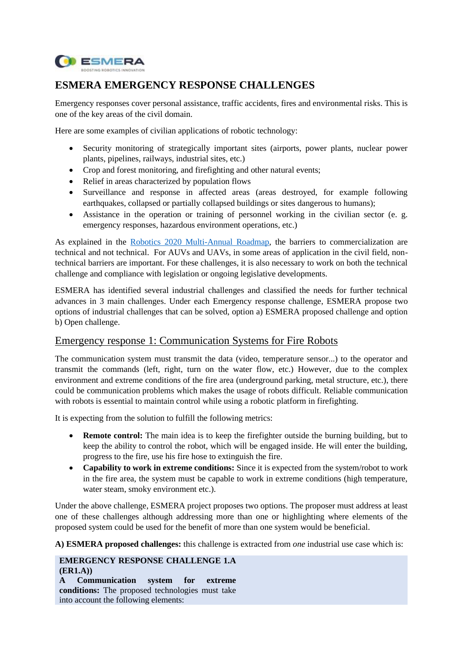

# **ESMERA EMERGENCY RESPONSE CHALLENGES**

Emergency responses cover personal assistance, traffic accidents, fires and environmental risks. This is one of the key areas of the civil domain.

Here are some examples of civilian applications of robotic technology:

- Security monitoring of strategically important sites (airports, power plants, nuclear power plants, pipelines, railways, industrial sites, etc.)
- Crop and forest monitoring, and firefighting and other natural events;
- Relief in areas characterized by population flows
- Surveillance and response in affected areas (areas destroyed, for example following earthquakes, collapsed or partially collapsed buildings or sites dangerous to humans);
- Assistance in the operation or training of personnel working in the civilian sector (e. g. emergency responses, hazardous environment operations, etc.)

As explained in the [Robotics 2020 Multi-Annual Roadmap,](https://www.eu-robotics.net/cms/upload/topic_groups/H2020_Robotics_Multi-Annual_Roadmap_ICT-2017B.pdf) the barriers to commercialization are technical and not technical. For AUVs and UAVs, in some areas of application in the civil field, nontechnical barriers are important. For these challenges, it is also necessary to work on both the technical challenge and compliance with legislation or ongoing legislative developments.

ESMERA has identified several industrial challenges and classified the needs for further technical advances in 3 main challenges. Under each Emergency response challenge, ESMERA propose two options of industrial challenges that can be solved, option a) ESMERA proposed challenge and option b) Open challenge.

## Emergency response 1: Communication Systems for Fire Robots

The communication system must transmit the data (video, temperature sensor...) to the operator and transmit the commands (left, right, turn on the water flow, etc.) However, due to the complex environment and extreme conditions of the fire area (underground parking, metal structure, etc.), there could be communication problems which makes the usage of robots difficult. Reliable communication with robots is essential to maintain control while using a robotic platform in firefighting.

It is expecting from the solution to fulfill the following metrics:

- **Remote control:** The main idea is to keep the firefighter outside the burning building, but to keep the ability to control the robot, which will be engaged inside. He will enter the building, progress to the fire, use his fire hose to extinguish the fire.
- **Capability to work in extreme conditions:** Since it is expected from the system/robot to work in the fire area, the system must be capable to work in extreme conditions (high temperature, water steam, smoky environment etc.).

Under the above challenge, ESMERA project proposes two options. The proposer must address at least one of these challenges although addressing more than one or highlighting where elements of the proposed system could be used for the benefit of more than one system would be beneficial.

**A) ESMERA proposed challenges:** this challenge is extracted from *one* industrial use case which is:

#### **EMERGENCY RESPONSE CHALLENGE 1.A (ER1.A))**

**A Communication system for extreme conditions:** The proposed technologies must take into account the following elements: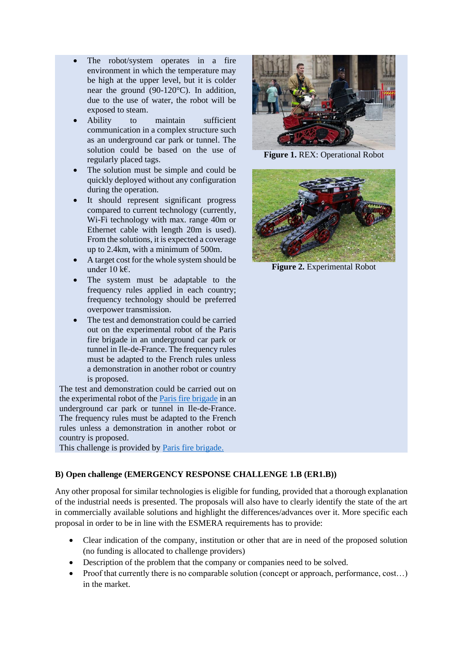- The robot/system operates in a fire environment in which the temperature may be high at the upper level, but it is colder near the ground (90-120°C). In addition, due to the use of water, the robot will be exposed to steam.
- Ability to maintain sufficient communication in a complex structure such as an underground car park or tunnel. The solution could be based on the use of regularly placed tags.
- The solution must be simple and could be quickly deployed without any configuration during the operation.
- It should represent significant progress compared to current technology (currently, Wi-Fi technology with max. range 40m or Ethernet cable with length 20m is used). From the solutions, it is expected a coverage up to 2.4km, with a minimum of 500m.
- A target cost for the whole system should be under 10 k $\epsilon$ .
- The system must be adaptable to the frequency rules applied in each country; frequency technology should be preferred overpower transmission.
- The test and demonstration could be carried out on the experimental robot of the Paris fire brigade in an underground car park or tunnel in Ile-de-France. The frequency rules must be adapted to the French rules unless a demonstration in another robot or country is proposed.

The test and demonstration could be carried out on the experimental robot of the [Paris fire brigade](https://www.pompiersparis.fr/en/) in an underground car park or tunnel in Ile-de-France. The frequency rules must be adapted to the French rules unless a demonstration in another robot or country is proposed.

This challenge is provided by [Paris fire brigade.](https://www.pompiersparis.fr/en/)

**Figure 1.** REX: Operational Robot



**Figure 2.** Experimental Robot

## **B) Open challenge (EMERGENCY RESPONSE CHALLENGE 1.B (ER1.B))**

Any other proposal for similar technologies is eligible for funding, provided that a thorough explanation of the industrial needs is presented. The proposals will also have to clearly identify the state of the art in commercially available solutions and highlight the differences/advances over it. More specific each proposal in order to be in line with the ESMERA requirements has to provide:

- Clear indication of the company, institution or other that are in need of the proposed solution (no funding is allocated to challenge providers)
- Description of the problem that the company or companies need to be solved.
- Proof that currently there is no comparable solution (concept or approach, performance, cost…) in the market.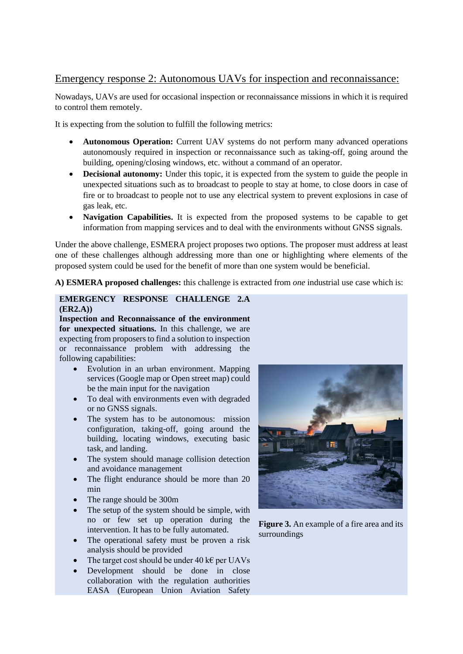# Emergency response 2: Autonomous UAVs for inspection and reconnaissance:

Nowadays, UAVs are used for occasional inspection or reconnaissance missions in which it is required to control them remotely.

It is expecting from the solution to fulfill the following metrics:

- **Autonomous Operation:** Current UAV systems do not perform many advanced operations autonomously required in inspection or reconnaissance such as taking-off, going around the building, opening/closing windows, etc. without a command of an operator.
- **Decisional autonomy:** Under this topic, it is expected from the system to guide the people in unexpected situations such as to broadcast to people to stay at home, to close doors in case of fire or to broadcast to people not to use any electrical system to prevent explosions in case of gas leak, etc.
- **Navigation Capabilities.** It is expected from the proposed systems to be capable to get information from mapping services and to deal with the environments without GNSS signals.

Under the above challenge, ESMERA project proposes two options. The proposer must address at least one of these challenges although addressing more than one or highlighting where elements of the proposed system could be used for the benefit of more than one system would be beneficial.

**A) ESMERA proposed challenges:** this challenge is extracted from *one* industrial use case which is:

#### **EMERGENCY RESPONSE CHALLENGE 2.A (ER2.A))**

**Inspection and Reconnaissance of the environment for unexpected situations.** In this challenge, we are expecting from proposers to find a solution to inspection or reconnaissance problem with addressing the following capabilities:

- Evolution in an urban environment. Mapping services (Google map or Open street map) could be the main input for the navigation
- To deal with environments even with degraded or no GNSS signals.
- The system has to be autonomous: mission configuration, taking-off, going around the building, locating windows, executing basic task, and landing.
- The system should manage collision detection and avoidance management
- The flight endurance should be more than 20 min
- The range should be 300m
- The setup of the system should be simple, with no or few set up operation during the intervention. It has to be fully automated.
- The operational safety must be proven a risk analysis should be provided
- The target cost should be under  $40 \text{ k}\epsilon$  per UAVs
- Development should be done in close collaboration with the regulation authorities EASA (European Union Aviation Safety



**Figure 3.** An example of a fire area and its surroundings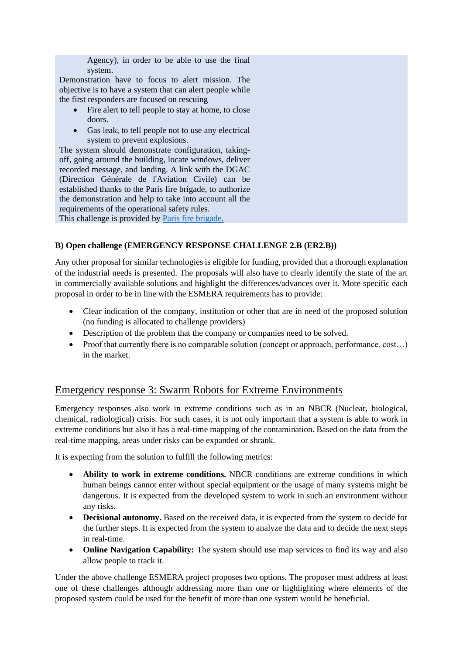Agency), in order to be able to use the final system.

Demonstration have to focus to alert mission. The objective is to have a system that can alert people while the first responders are focused on rescuing

- Fire alert to tell people to stay at home, to close doors.
- Gas leak, to tell people not to use any electrical system to prevent explosions.

The system should demonstrate configuration, takingoff, going around the building, locate windows, deliver recorded message, and landing. A link with the DGAC (Direction Générale de l'Aviation Civile) can be established thanks to the Paris fire brigade, to authorize the demonstration and help to take into account all the requirements of the operational safety rules.

This challenge is provided by [Paris fire brigade.](https://www.pompiersparis.fr/en/)

## **B) Open challenge (EMERGENCY RESPONSE CHALLENGE 2.B (ER2.B))**

Any other proposal for similar technologies is eligible for funding, provided that a thorough explanation of the industrial needs is presented. The proposals will also have to clearly identify the state of the art in commercially available solutions and highlight the differences/advances over it. More specific each proposal in order to be in line with the ESMERA requirements has to provide:

- Clear indication of the company, institution or other that are in need of the proposed solution (no funding is allocated to challenge providers)
- Description of the problem that the company or companies need to be solved.
- Proof that currently there is no comparable solution (concept or approach, performance, cost...) in the market.

## Emergency response 3: Swarm Robots for Extreme Environments

Emergency responses also work in extreme conditions such as in an NBCR (Nuclear, biological, chemical, radiological) crisis. For such cases, it is not only important that a system is able to work in extreme conditions but also it has a real-time mapping of the contamination. Based on the data from the real-time mapping, areas under risks can be expanded or shrank.

It is expecting from the solution to fulfill the following metrics:

- **Ability to work in extreme conditions.** NBCR conditions are extreme conditions in which human beings cannot enter without special equipment or the usage of many systems might be dangerous. It is expected from the developed system to work in such an environment without any risks.
- **Decisional autonomy.** Based on the received data, it is expected from the system to decide for the further steps. It is expected from the system to analyze the data and to decide the next steps in real-time.
- **Online Navigation Capability:** The system should use map services to find its way and also allow people to track it.

Under the above challenge ESMERA project proposes two options. The proposer must address at least one of these challenges although addressing more than one or highlighting where elements of the proposed system could be used for the benefit of more than one system would be beneficial.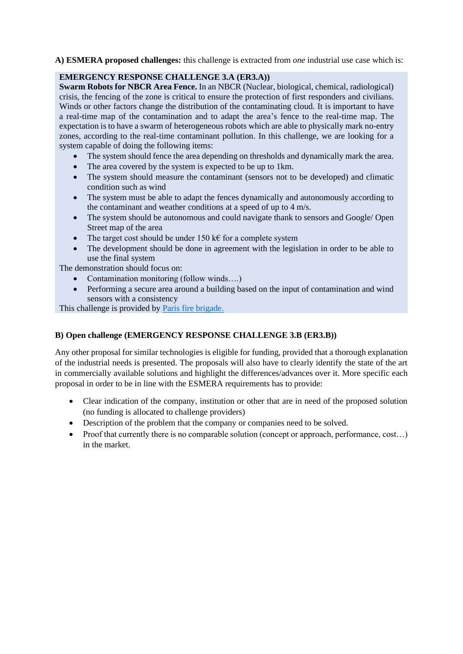**A) ESMERA proposed challenges:** this challenge is extracted from *one* industrial use case which is:

#### **EMERGENCY RESPONSE CHALLENGE 3.A (ER3.A))**

**Swarm Robots for NBCR Area Fence.** In an NBCR (Nuclear, biological, chemical, radiological) crisis, the fencing of the zone is critical to ensure the protection of first responders and civilians. Winds or other factors change the distribution of the contaminating cloud. It is important to have a real-time map of the contamination and to adapt the area's fence to the real-time map. The expectation is to have a swarm of heterogeneous robots which are able to physically mark no-entry zones, according to the real-time contaminant pollution. In this challenge, we are looking for a system capable of doing the following items:

- The system should fence the area depending on thresholds and dynamically mark the area.
- The area covered by the system is expected to be up to 1km.
- The system should measure the contaminant (sensors not to be developed) and climatic condition such as wind
- The system must be able to adapt the fences dynamically and autonomously according to the contaminant and weather conditions at a speed of up to 4 m/s.
- The system should be autonomous and could navigate thank to sensors and Google/ Open Street map of the area
- The target cost should be under 150 k€ for a complete system
- The development should be done in agreement with the legislation in order to be able to use the final system

The demonstration should focus on:

- Contamination monitoring (follow winds….)
- Performing a secure area around a building based on the input of contamination and wind sensors with a consistency

This challenge is provided by [Paris fire brigade.](https://www.pompiersparis.fr/en/)

## **B) Open challenge (EMERGENCY RESPONSE CHALLENGE 3.B (ER3.B))**

Any other proposal for similar technologies is eligible for funding, provided that a thorough explanation of the industrial needs is presented. The proposals will also have to clearly identify the state of the art in commercially available solutions and highlight the differences/advances over it. More specific each proposal in order to be in line with the ESMERA requirements has to provide:

- Clear indication of the company, institution or other that are in need of the proposed solution (no funding is allocated to challenge providers)
- Description of the problem that the company or companies need to be solved.
- Proof that currently there is no comparable solution (concept or approach, performance, cost...) in the market.